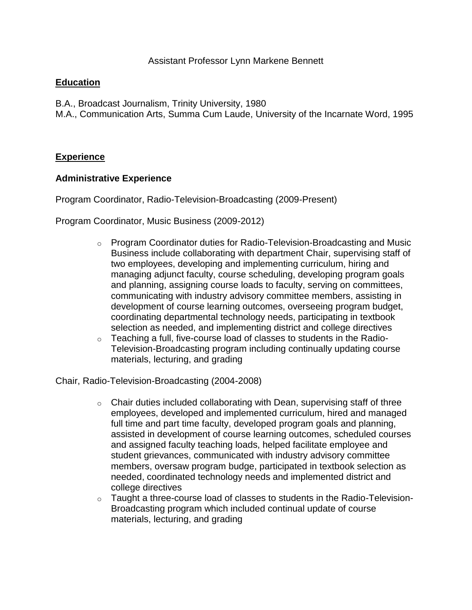# **Education**

- B.A., Broadcast Journalism, Trinity University, 1980
- M.A., Communication Arts, Summa Cum Laude, University of the Incarnate Word, 1995

# **Experience**

## **Administrative Experience**

Program Coordinator, Radio-Television-Broadcasting (2009-Present)

Program Coordinator, Music Business (2009-2012)

- o Program Coordinator duties for Radio-Television-Broadcasting and Music Business include collaborating with department Chair, supervising staff of two employees, developing and implementing curriculum, hiring and managing adjunct faculty, course scheduling, developing program goals and planning, assigning course loads to faculty, serving on committees, communicating with industry advisory committee members, assisting in development of course learning outcomes, overseeing program budget, coordinating departmental technology needs, participating in textbook selection as needed, and implementing district and college directives
- $\circ$  Teaching a full, five-course load of classes to students in the Radio-Television-Broadcasting program including continually updating course materials, lecturing, and grading

Chair, Radio-Television-Broadcasting (2004-2008)

- $\circ$  Chair duties included collaborating with Dean, supervising staff of three employees, developed and implemented curriculum, hired and managed full time and part time faculty, developed program goals and planning, assisted in development of course learning outcomes, scheduled courses and assigned faculty teaching loads, helped facilitate employee and student grievances, communicated with industry advisory committee members, oversaw program budge, participated in textbook selection as needed, coordinated technology needs and implemented district and college directives
- $\circ$  Taught a three-course load of classes to students in the Radio-Television-Broadcasting program which included continual update of course materials, lecturing, and grading